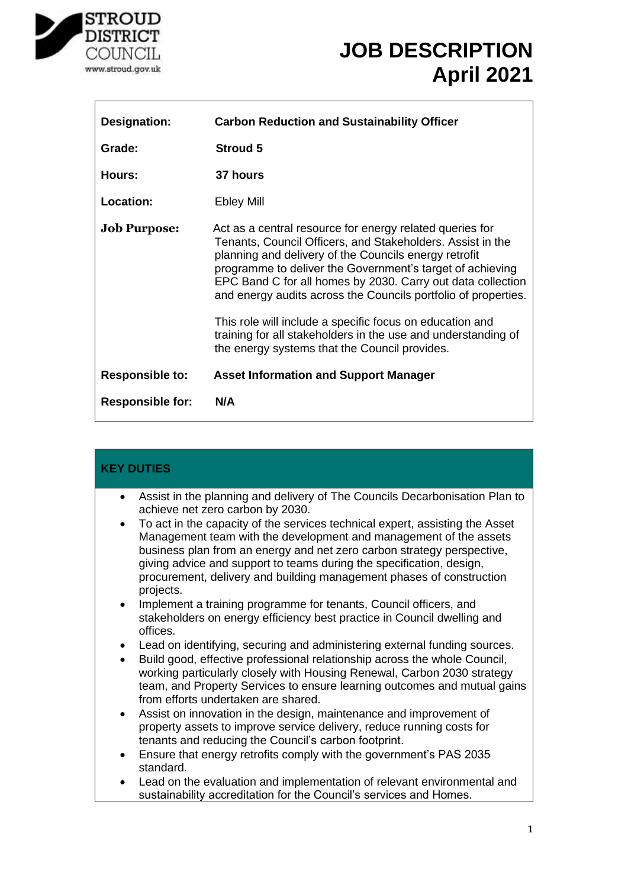

٦

| <b>Designation:</b>     | <b>Carbon Reduction and Sustainability Officer</b>                                                                                                                                                                                                                                                                                                                                                                                                                                                                                                          |
|-------------------------|-------------------------------------------------------------------------------------------------------------------------------------------------------------------------------------------------------------------------------------------------------------------------------------------------------------------------------------------------------------------------------------------------------------------------------------------------------------------------------------------------------------------------------------------------------------|
| Grade:                  | <b>Stroud 5</b>                                                                                                                                                                                                                                                                                                                                                                                                                                                                                                                                             |
| Hours:                  | 37 hours                                                                                                                                                                                                                                                                                                                                                                                                                                                                                                                                                    |
| Location:               | <b>Ebley Mill</b>                                                                                                                                                                                                                                                                                                                                                                                                                                                                                                                                           |
| <b>Job Purpose:</b>     | Act as a central resource for energy related queries for<br>Tenants, Council Officers, and Stakeholders. Assist in the<br>planning and delivery of the Councils energy retrofit<br>programme to deliver the Government's target of achieving<br>EPC Band C for all homes by 2030. Carry out data collection<br>and energy audits across the Councils portfolio of properties.<br>This role will include a specific focus on education and<br>training for all stakeholders in the use and understanding of<br>the energy systems that the Council provides. |
| <b>Responsible to:</b>  | <b>Asset Information and Support Manager</b>                                                                                                                                                                                                                                                                                                                                                                                                                                                                                                                |
| <b>Responsible for:</b> | N/A                                                                                                                                                                                                                                                                                                                                                                                                                                                                                                                                                         |

| <b>KEY DUTIES</b>                                                                                                                                                                                                                                                                                                                                                                                     |  |
|-------------------------------------------------------------------------------------------------------------------------------------------------------------------------------------------------------------------------------------------------------------------------------------------------------------------------------------------------------------------------------------------------------|--|
| Assist in the planning and delivery of The Councils Decarbonisation Plan to<br>$\bullet$<br>achieve net zero carbon by 2030.                                                                                                                                                                                                                                                                          |  |
| To act in the capacity of the services technical expert, assisting the Asset<br>$\bullet$<br>Management team with the development and management of the assets<br>business plan from an energy and net zero carbon strategy perspective,<br>giving advice and support to teams during the specification, design,<br>procurement, delivery and building management phases of construction<br>projects. |  |
| Implement a training programme for tenants, Council officers, and<br>$\bullet$<br>stakeholders on energy efficiency best practice in Council dwelling and<br>offices.                                                                                                                                                                                                                                 |  |
| Lead on identifying, securing and administering external funding sources.<br>$\bullet$<br>Build good, effective professional relationship across the whole Council,<br>$\bullet$<br>working particularly closely with Housing Renewal, Carbon 2030 strategy<br>team, and Property Services to ensure learning outcomes and mutual gains<br>from efforts undertaken are shared.                        |  |
| Assist on innovation in the design, maintenance and improvement of<br>$\bullet$<br>property assets to improve service delivery, reduce running costs for<br>tenants and reducing the Council's carbon footprint.                                                                                                                                                                                      |  |
| Ensure that energy retrofits comply with the government's PAS 2035<br>$\bullet$<br>standard.                                                                                                                                                                                                                                                                                                          |  |
| Lead on the evaluation and implementation of relevant environmental and<br>$\bullet$<br>sustainability accreditation for the Council's services and Homes.                                                                                                                                                                                                                                            |  |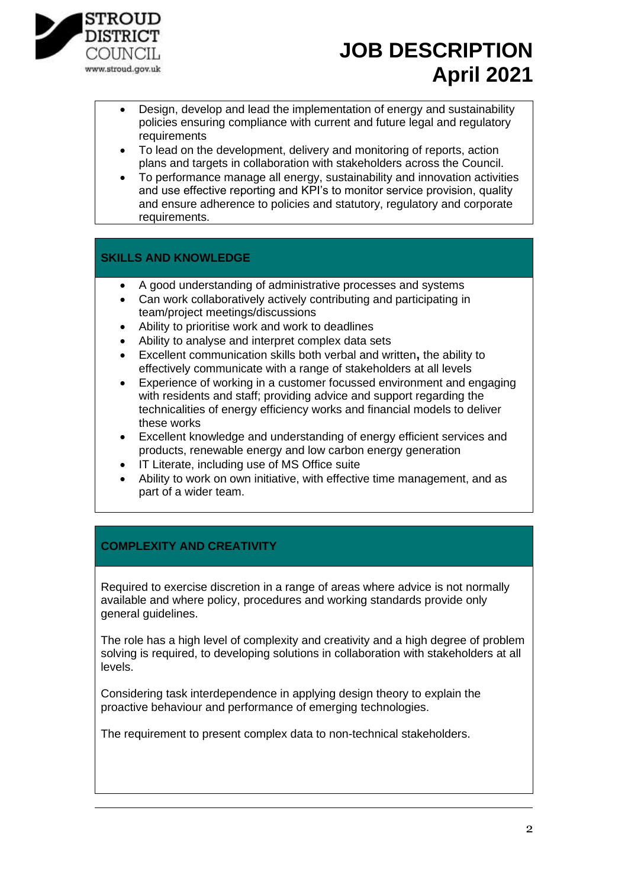

- Design, develop and lead the implementation of energy and sustainability policies ensuring compliance with current and future legal and regulatory **requirements**
- To lead on the development, delivery and monitoring of reports, action plans and targets in collaboration with stakeholders across the Council.
- To performance manage all energy, sustainability and innovation activities and use effective reporting and KPI's to monitor service provision, quality and ensure adherence to policies and statutory, regulatory and corporate requirements.

#### **SKILLS AND KNOWLEDGE**

- A good understanding of administrative processes and systems
- Can work collaboratively actively contributing and participating in team/project meetings/discussions
- Ability to prioritise work and work to deadlines
- Ability to analyse and interpret complex data sets
- Excellent communication skills both verbal and written**,** the ability to effectively communicate with a range of stakeholders at all levels
- Experience of working in a customer focussed environment and engaging with residents and staff; providing advice and support regarding the technicalities of energy efficiency works and financial models to deliver these works
- Excellent knowledge and understanding of energy efficient services and products, renewable energy and low carbon energy generation
- IT Literate, including use of MS Office suite
- Ability to work on own initiative, with effective time management, and as part of a wider team.

### **COMPLEXITY AND CREATIVITY**

Required to exercise discretion in a range of areas where advice is not normally available and where policy, procedures and working standards provide only general guidelines.

The role has a high level of complexity and creativity and a high degree of problem solving is required, to developing solutions in collaboration with stakeholders at all levels.

Considering task interdependence in applying design theory to explain the proactive behaviour and performance of emerging technologies.

The requirement to present complex data to non-technical stakeholders.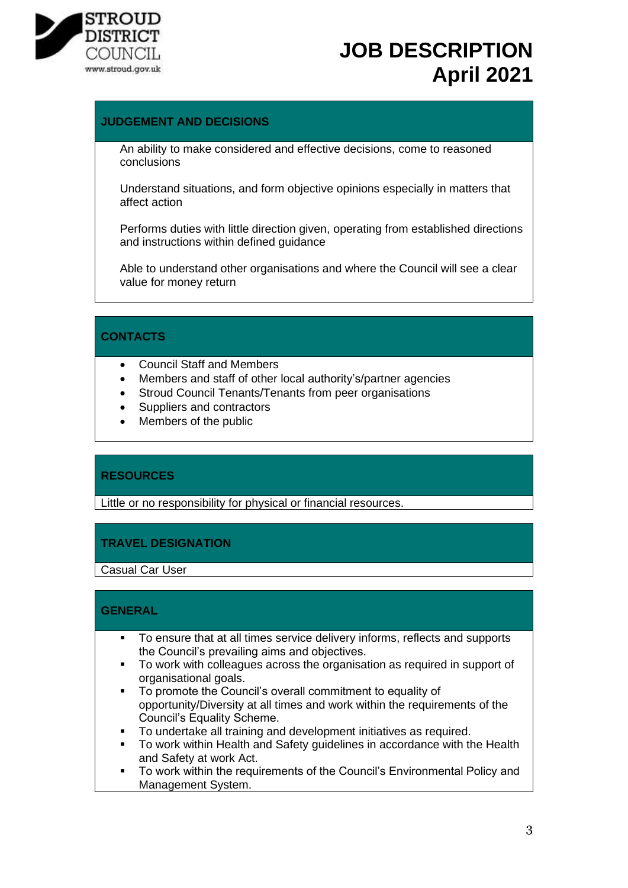

#### **JUDGEMENT AND DECISIONS**

An ability to make considered and effective decisions, come to reasoned conclusions

Understand situations, and form objective opinions especially in matters that affect action

Performs duties with little direction given, operating from established directions and instructions within defined guidance

Able to understand other organisations and where the Council will see a clear value for money return

#### **CONTACTS**

- Council Staff and Members
- Members and staff of other local authority's/partner agencies
- Stroud Council Tenants/Tenants from peer organisations
- Suppliers and contractors
- Members of the public

#### **RESOURCES**

Little or no responsibility for physical or financial resources.

#### **TRAVEL DESIGNATION**

Casual Car User

#### **GENERAL**

- To ensure that at all times service delivery informs, reflects and supports the Council's prevailing aims and objectives.
- To work with colleagues across the organisation as required in support of organisational goals.
- To promote the Council's overall commitment to equality of opportunity/Diversity at all times and work within the requirements of the Council's Equality Scheme.
- To undertake all training and development initiatives as required.
- To work within Health and Safety quidelines in accordance with the Health and Safety at work Act.
- To work within the requirements of the Council's Environmental Policy and Management System.